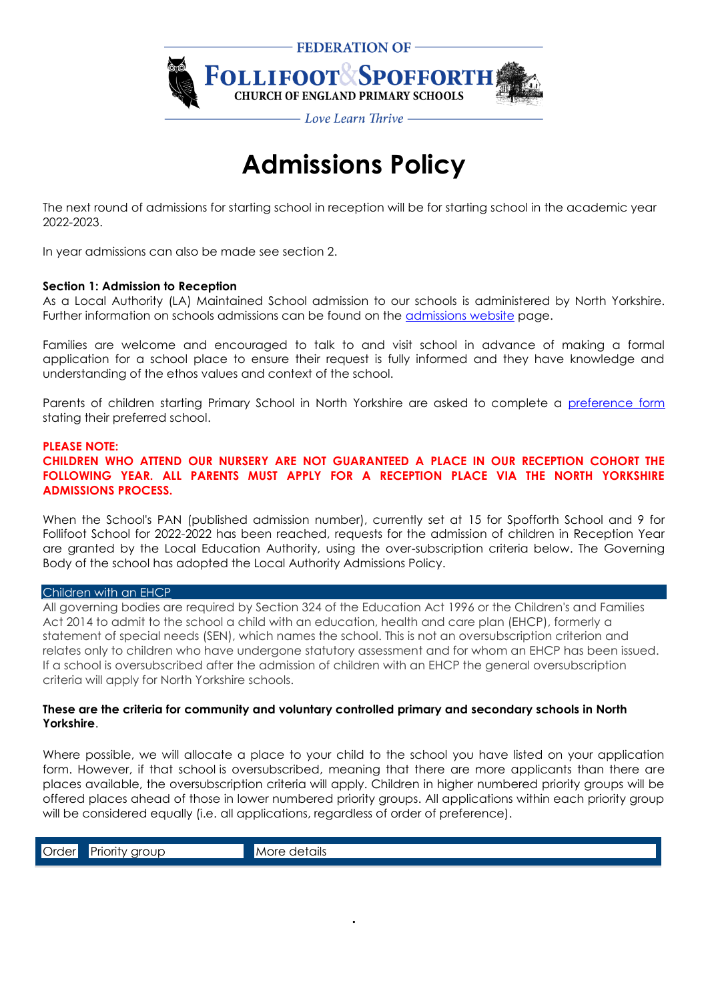

# **Admissions Policy**

The next round of admissions for starting school in reception will be for starting school in the academic year 2022-2023.

In year admissions can also be made see section 2.

#### **Section 1: Admission to Reception**

As a Local Authority (LA) Maintained School admission to our schools is administered by North Yorkshire. Further information on schools admissions can be found on the **admissions website page.** 

Families are welcome and encouraged to talk to and visit school in advance of making a formal application for a school place to ensure their request is fully informed and they have knowledge and understanding of the ethos values and context of the school.

Parents of children starting Primary School in North Yorkshire are asked to complete a [preference form](http://www.northyorks.gov.uk/index.aspx?articleid=15323) stating their preferred school.

#### **PLEASE NOTE:**

**CHILDREN WHO ATTEND OUR NURSERY ARE NOT GUARANTEED A PLACE IN OUR RECEPTION COHORT THE FOLLOWING YEAR. ALL PARENTS MUST APPLY FOR A RECEPTION PLACE VIA THE NORTH YORKSHIRE ADMISSIONS PROCESS.**

When the School's PAN (published admission number), currently set at 15 for Spofforth School and 9 for Follifoot School for 2022-2022 has been reached, requests for the admission of children in Reception Year are granted by the Local Education Authority, using the over-subscription criteria below. The Governing Body of the school has adopted the Local Authority Admissions Policy.

#### [Children with an EHCP](https://www.northyorks.gov.uk/admissions-statistics-and-policies#collapse_cLNIXkEL_1)

All governing bodies are required by Section 324 of the Education Act 1996 or the Children's and Families Act 2014 to admit to the school a child with an education, health and care plan (EHCP), formerly a statement of special needs (SEN), which names the school. This is not an oversubscription criterion and relates only to children who have undergone statutory assessment and for whom an EHCP has been issued. If a school is oversubscribed after the admission of children with an EHCP the general oversubscription criteria will apply for North Yorkshire schools.

## **These are the criteria for community and voluntary controlled primary and secondary schools in North Yorkshire**.

Where possible, we will allocate a place to your child to the school you have listed on your application form. However, if that school is oversubscribed, meaning that there are more applicants than there are places available, the oversubscription criteria will apply. Children in higher numbered priority groups will be offered places ahead of those in lower numbered priority groups. All applications within each priority group will be considered equally (i.e. all applications, regardless of order of preference).

**.**

Order Priority group More details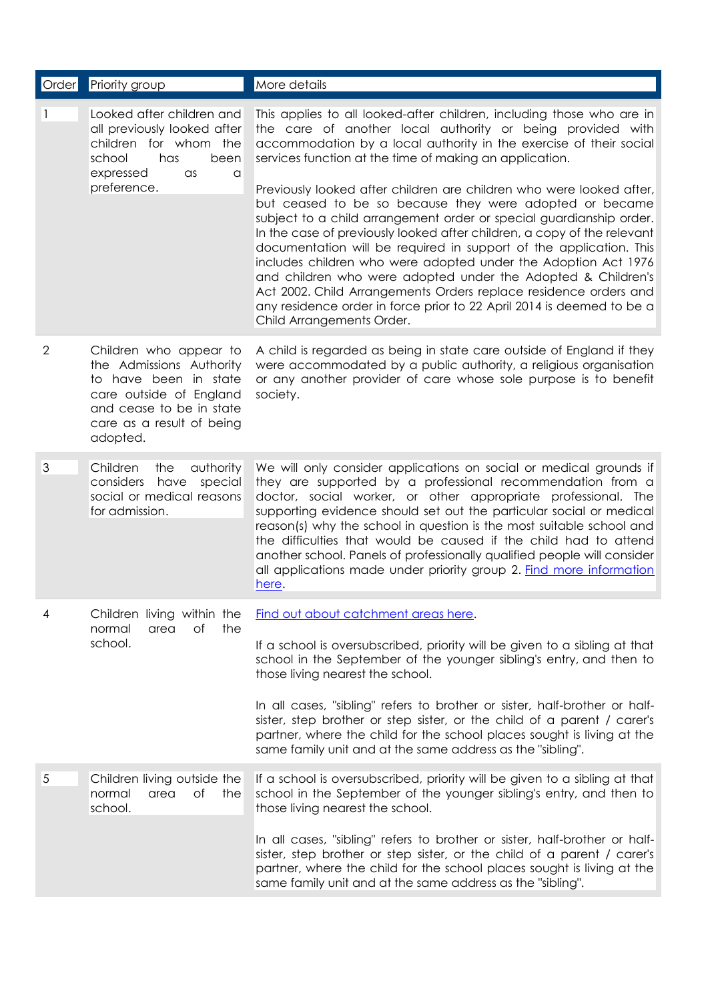| Order          | <b>Priority group</b>                                                                                                                             | More details                                                                                                                                                                                                                                                                                                                                                                                                                                                                                                                                                                                                                                                                                                                                                                                                                                                                                                                                |
|----------------|---------------------------------------------------------------------------------------------------------------------------------------------------|---------------------------------------------------------------------------------------------------------------------------------------------------------------------------------------------------------------------------------------------------------------------------------------------------------------------------------------------------------------------------------------------------------------------------------------------------------------------------------------------------------------------------------------------------------------------------------------------------------------------------------------------------------------------------------------------------------------------------------------------------------------------------------------------------------------------------------------------------------------------------------------------------------------------------------------------|
|                | Looked after children and<br>all previously looked after<br>children for whom the<br>school<br>has<br>been<br>expressed<br>as<br>a<br>preference. | This applies to all looked-after children, including those who are in<br>the care of another local authority or being provided with<br>accommodation by a local authority in the exercise of their social<br>services function at the time of making an application.<br>Previously looked after children are children who were looked after,<br>but ceased to be so because they were adopted or became<br>subject to a child arrangement order or special guardianship order.<br>In the case of previously looked after children, a copy of the relevant<br>documentation will be required in support of the application. This<br>includes children who were adopted under the Adoption Act 1976<br>and children who were adopted under the Adopted & Children's<br>Act 2002. Child Arrangements Orders replace residence orders and<br>any residence order in force prior to 22 April 2014 is deemed to be a<br>Child Arrangements Order. |
| $\overline{2}$ | Children who appear to                                                                                                                            | A child is regarded as being in state care outside of England if they                                                                                                                                                                                                                                                                                                                                                                                                                                                                                                                                                                                                                                                                                                                                                                                                                                                                       |
|                | the Admissions Authority<br>to have been in state<br>care outside of England<br>and cease to be in state<br>care as a result of being<br>adopted. | were accommodated by a public authority, a religious organisation<br>or any another provider of care whose sole purpose is to benefit<br>society.                                                                                                                                                                                                                                                                                                                                                                                                                                                                                                                                                                                                                                                                                                                                                                                           |
| 3              | Children<br>authority<br>the<br>considers<br>have<br>special<br>social or medical reasons<br>for admission.                                       | We will only consider applications on social or medical grounds if<br>they are supported by a professional recommendation from a<br>doctor, social worker, or other appropriate professional. The<br>supporting evidence should set out the particular social or medical<br>reason(s) why the school in question is the most suitable school and<br>the difficulties that would be caused if the child had to attend<br>another school. Panels of professionally qualified people will consider<br>all applications made under priority group 2. Find more information<br>here.                                                                                                                                                                                                                                                                                                                                                             |
| 4              | Children living within the<br>Оf<br>the<br>normal<br>area<br>school.                                                                              | Find out about catchment areas here.                                                                                                                                                                                                                                                                                                                                                                                                                                                                                                                                                                                                                                                                                                                                                                                                                                                                                                        |
|                |                                                                                                                                                   | If a school is oversubscribed, priority will be given to a sibling at that<br>school in the September of the younger sibling's entry, and then to<br>those living nearest the school.                                                                                                                                                                                                                                                                                                                                                                                                                                                                                                                                                                                                                                                                                                                                                       |
|                |                                                                                                                                                   | In all cases, "sibling" refers to brother or sister, half-brother or half-<br>sister, step brother or step sister, or the child of a parent / carer's<br>partner, where the child for the school places sought is living at the<br>same family unit and at the same address as the "sibling".                                                                                                                                                                                                                                                                                                                                                                                                                                                                                                                                                                                                                                               |
| 5              | Children living outside the<br>Оf<br>normal<br>the<br>area<br>school.                                                                             | If a school is oversubscribed, priority will be given to a sibling at that<br>school in the September of the younger sibling's entry, and then to<br>those living nearest the school.                                                                                                                                                                                                                                                                                                                                                                                                                                                                                                                                                                                                                                                                                                                                                       |
|                |                                                                                                                                                   | In all cases, "sibling" refers to brother or sister, half-brother or half-<br>sister, step brother or step sister, or the child of a parent / carer's<br>partner, where the child for the school places sought is living at the<br>same family unit and at the same address as the "sibling".                                                                                                                                                                                                                                                                                                                                                                                                                                                                                                                                                                                                                                               |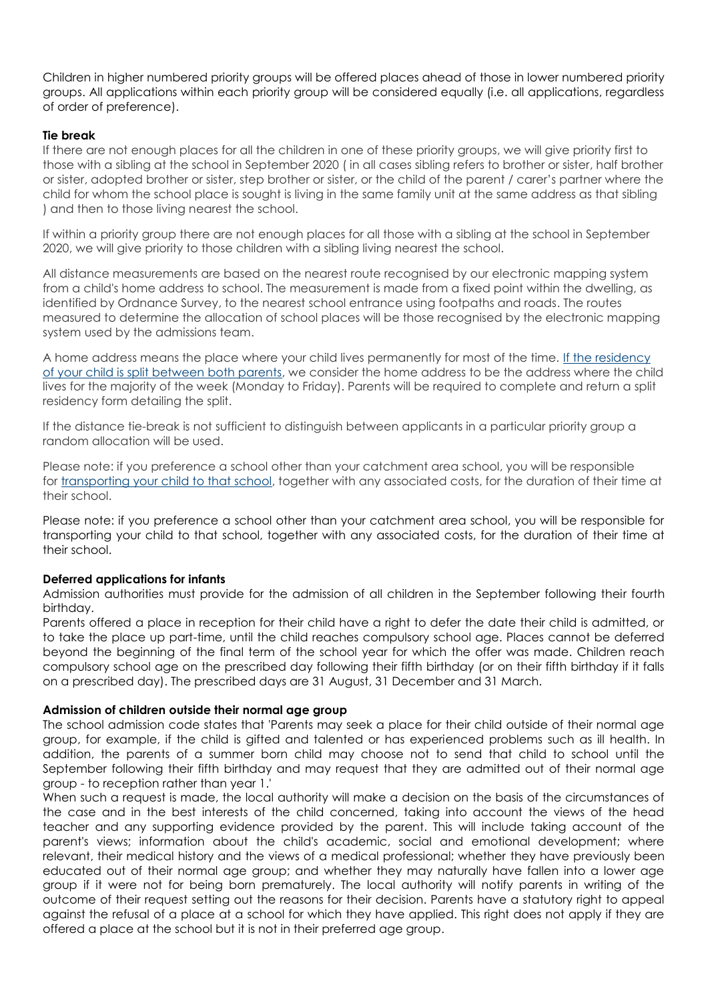Children in higher numbered priority groups will be offered places ahead of those in lower numbered priority groups. All applications within each priority group will be considered equally (i.e. all applications, regardless of order of preference).

# **Tie break**

If there are not enough places for all the children in one of these priority groups, we will give priority first to those with a sibling at the school in September 2020 ( in all cases sibling refers to brother or sister, half brother or sister, adopted brother or sister, step brother or sister, or the child of the parent / carer's partner where the child for whom the school place is sought is living in the same family unit at the same address as that sibling ) and then to those living nearest the school.

If within a priority group there are not enough places for all those with a sibling at the school in September 2020, we will give priority to those children with a sibling living nearest the school.

All distance measurements are based on the nearest route recognised by our electronic mapping system from a child's home address to school. The measurement is made from a fixed point within the dwelling, as identified by Ordnance Survey, to the nearest school entrance using footpaths and roads. The routes measured to determine the allocation of school places will be those recognised by the electronic mapping system used by the admissions team.

A home address means the place where your child lives permanently for most of the time. If the residency [of your child is split between both parents,](https://www.northyorks.gov.uk/special-circumstances-school-admissions) we consider the home address to be the address where the child lives for the majority of the week (Monday to Friday). Parents will be required to complete and return a split residency form detailing the split.

If the distance tie-break is not sufficient to distinguish between applicants in a particular priority group a random allocation will be used.

Please note: if you preference a school other than your catchment area school, you will be responsible for [transporting your child to that school,](https://www.northyorks.gov.uk/school-transport-reception-year-11-children) together with any associated costs, for the duration of their time at their school.

Please note: if you preference a school other than your catchment area school, you will be responsible for transporting your child to that school, together with any associated costs, for the duration of their time at their school.

## **Deferred applications for infants**

Admission authorities must provide for the admission of all children in the September following their fourth birthday.

Parents offered a place in reception for their child have a right to defer the date their child is admitted, or to take the place up part-time, until the child reaches compulsory school age. Places cannot be deferred beyond the beginning of the final term of the school year for which the offer was made. Children reach compulsory school age on the prescribed day following their fifth birthday (or on their fifth birthday if it falls on a prescribed day). The prescribed days are 31 August, 31 December and 31 March.

## **Admission of children outside their normal age group**

The school admission code states that 'Parents may seek a place for their child outside of their normal age group, for example, if the child is gifted and talented or has experienced problems such as ill health. In addition, the parents of a summer born child may choose not to send that child to school until the September following their fifth birthday and may request that they are admitted out of their normal age group - to reception rather than year 1.'

When such a request is made, the local authority will make a decision on the basis of the circumstances of the case and in the best interests of the child concerned, taking into account the views of the head teacher and any supporting evidence provided by the parent. This will include taking account of the parent's views; information about the child's academic, social and emotional development; where relevant, their medical history and the views of a medical professional; whether they have previously been educated out of their normal age group; and whether they may naturally have fallen into a lower age group if it were not for being born prematurely. The local authority will notify parents in writing of the outcome of their request setting out the reasons for their decision. Parents have a statutory right to appeal against the refusal of a place at a school for which they have applied. This right does not apply if they are offered a place at the school but it is not in their preferred age group.